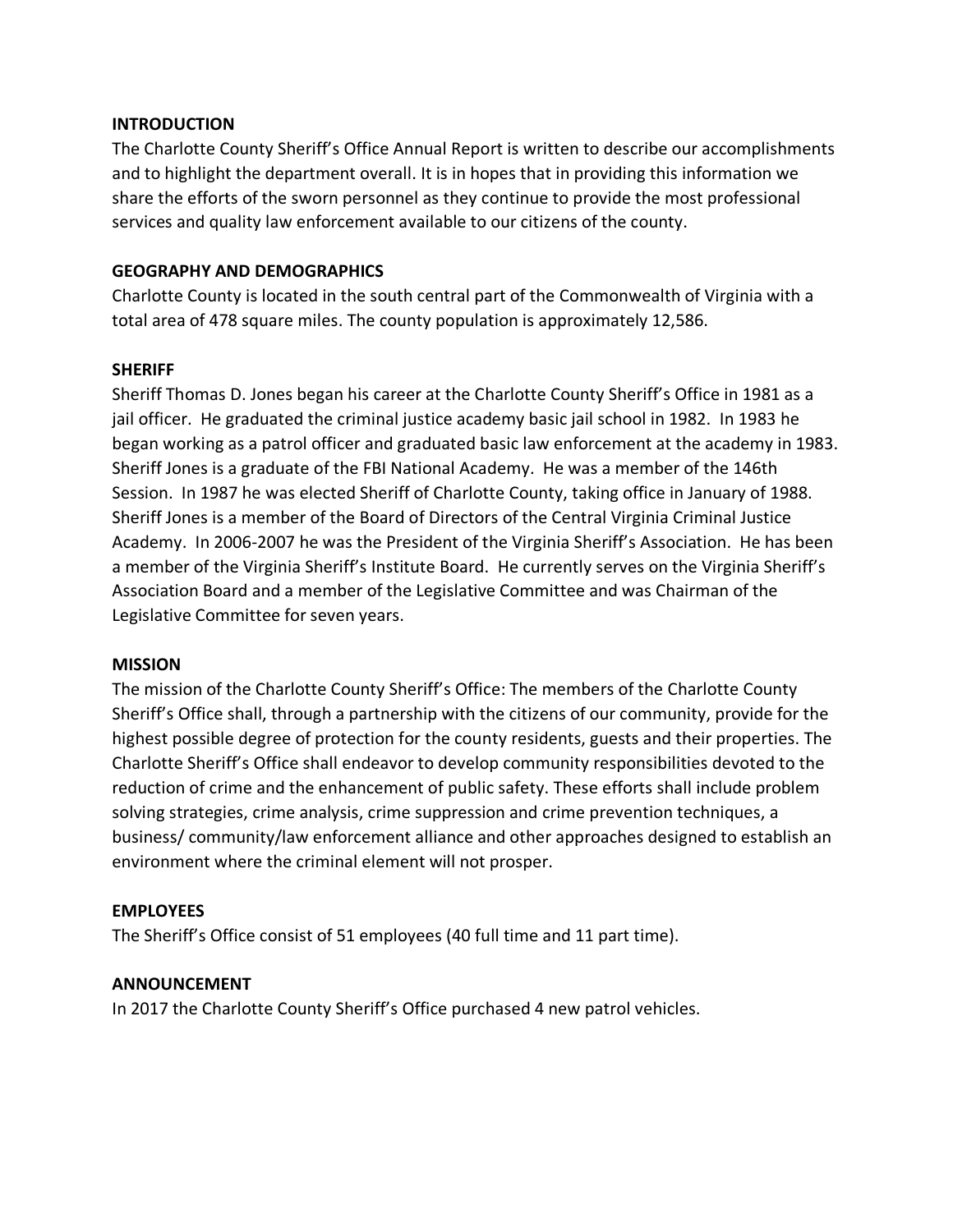## **INTRODUCTION**

The Charlotte County Sheriff's Office Annual Report is written to describe our accomplishments and to highlight the department overall. It is in hopes that in providing this information we share the efforts of the sworn personnel as they continue to provide the most professional services and quality law enforcement available to our citizens of the county.

# **GEOGRAPHY AND DEMOGRAPHICS**

Charlotte County is located in the south central part of the Commonwealth of Virginia with a total area of 478 square miles. The county population is approximately 12,586.

# **SHERIFF**

Sheriff Thomas D. Jones began his career at the Charlotte County Sheriff's Office in 1981 as a jail officer. He graduated the criminal justice academy basic jail school in 1982. In 1983 he began working as a patrol officer and graduated basic law enforcement at the academy in 1983. Sheriff Jones is a graduate of the FBI National Academy. He was a member of the 146th Session. In 1987 he was elected Sheriff of Charlotte County, taking office in January of 1988. Sheriff Jones is a member of the Board of Directors of the Central Virginia Criminal Justice Academy. In 2006-2007 he was the President of the Virginia Sheriff's Association. He has been a member of the Virginia Sheriff's Institute Board. He currently serves on the Virginia Sheriff's Association Board and a member of the Legislative Committee and was Chairman of the Legislative Committee for seven years.

## **MISSION**

The mission of the Charlotte County Sheriff's Office: The members of the Charlotte County Sheriff's Office shall, through a partnership with the citizens of our community, provide for the highest possible degree of protection for the county residents, guests and their properties. The Charlotte Sheriff's Office shall endeavor to develop community responsibilities devoted to the reduction of crime and the enhancement of public safety. These efforts shall include problem solving strategies, crime analysis, crime suppression and crime prevention techniques, a business/ community/law enforcement alliance and other approaches designed to establish an environment where the criminal element will not prosper.

## **EMPLOYEES**

The Sheriff's Office consist of 51 employees (40 full time and 11 part time).

## **ANNOUNCEMENT**

In 2017 the Charlotte County Sheriff's Office purchased 4 new patrol vehicles.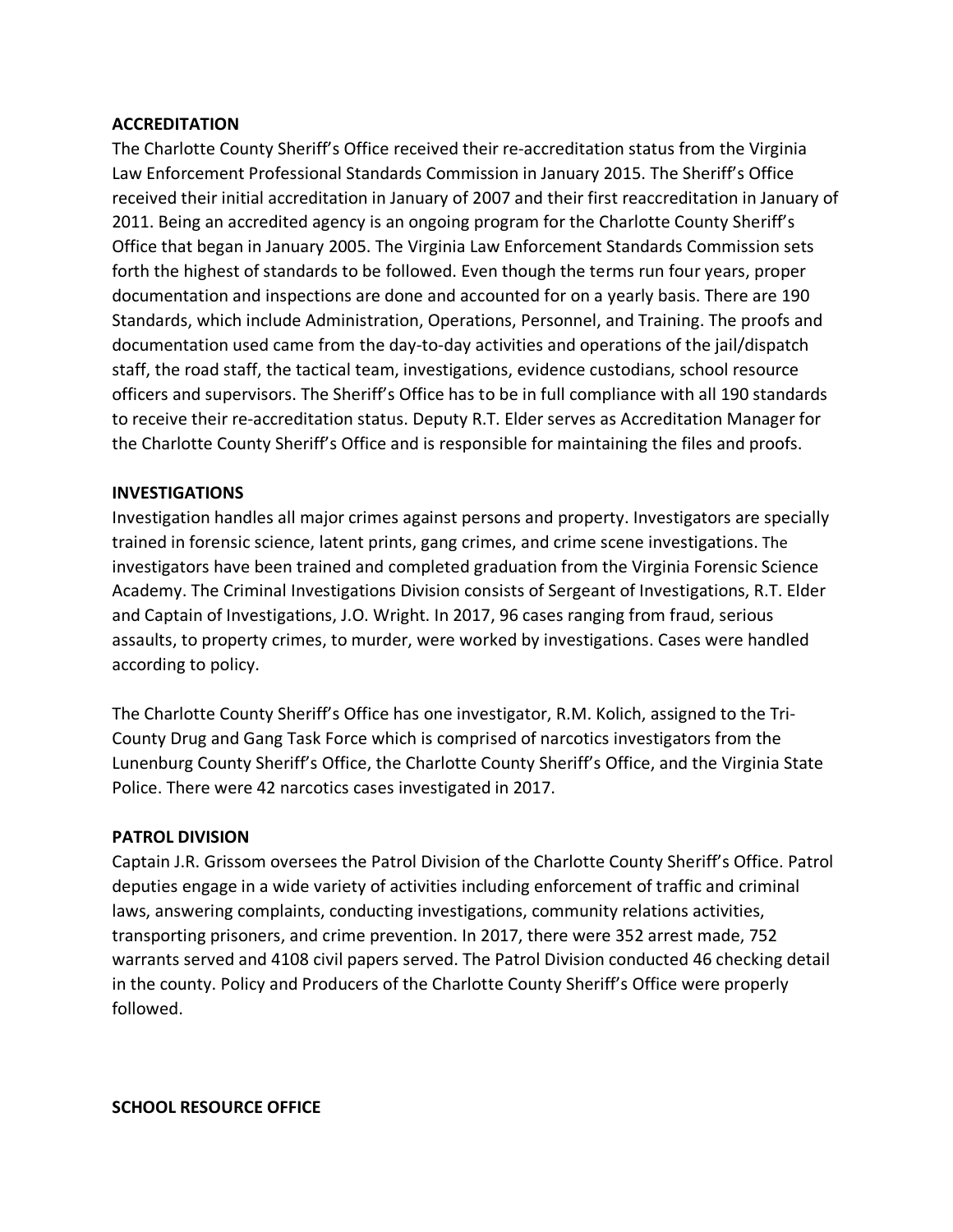# **ACCREDITATION**

The Charlotte County Sheriff's Office received their re-accreditation status from the Virginia Law Enforcement Professional Standards Commission in January 2015. The Sheriff's Office received their initial accreditation in January of 2007 and their first reaccreditation in January of 2011. Being an accredited agency is an ongoing program for the Charlotte County Sheriff's Office that began in January 2005. The Virginia Law Enforcement Standards Commission sets forth the highest of standards to be followed. Even though the terms run four years, proper documentation and inspections are done and accounted for on a yearly basis. There are 190 Standards, which include Administration, Operations, Personnel, and Training. The proofs and documentation used came from the day-to-day activities and operations of the jail/dispatch staff, the road staff, the tactical team, investigations, evidence custodians, school resource officers and supervisors. The Sheriff's Office has to be in full compliance with all 190 standards to receive their re-accreditation status. Deputy R.T. Elder serves as Accreditation Manager for the Charlotte County Sheriff's Office and is responsible for maintaining the files and proofs.

## **INVESTIGATIONS**

Investigation handles all major crimes against persons and property. Investigators are specially trained in forensic science, latent prints, gang crimes, and crime scene investigations. The investigators have been trained and completed graduation from the Virginia Forensic Science Academy. The Criminal Investigations Division consists of Sergeant of Investigations, R.T. Elder and Captain of Investigations, J.O. Wright. In 2017, 96 cases ranging from fraud, serious assaults, to property crimes, to murder, were worked by investigations. Cases were handled according to policy.

The Charlotte County Sheriff's Office has one investigator, R.M. Kolich, assigned to the Tri-County Drug and Gang Task Force which is comprised of narcotics investigators from the Lunenburg County Sheriff's Office, the Charlotte County Sheriff's Office, and the Virginia State Police. There were 42 narcotics cases investigated in 2017.

## **PATROL DIVISION**

Captain J.R. Grissom oversees the Patrol Division of the Charlotte County Sheriff's Office. Patrol deputies engage in a wide variety of activities including enforcement of traffic and criminal laws, answering complaints, conducting investigations, community relations activities, transporting prisoners, and crime prevention. In 2017, there were 352 arrest made, 752 warrants served and 4108 civil papers served. The Patrol Division conducted 46 checking detail in the county. Policy and Producers of the Charlotte County Sheriff's Office were properly followed.

**SCHOOL RESOURCE OFFICE**